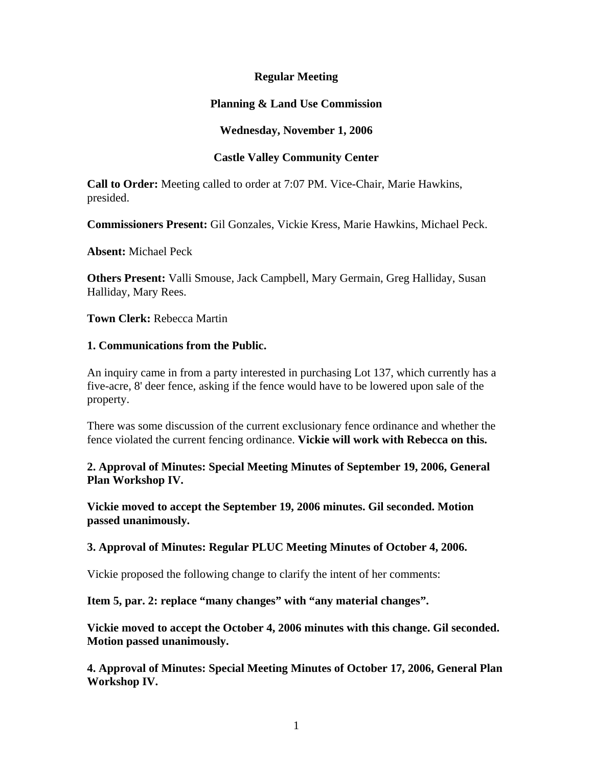# **Regular Meeting**

# **Planning & Land Use Commission**

# **Wednesday, November 1, 2006**

## **Castle Valley Community Center**

**Call to Order:** Meeting called to order at 7:07 PM. Vice-Chair, Marie Hawkins, presided.

**Commissioners Present:** Gil Gonzales, Vickie Kress, Marie Hawkins, Michael Peck.

**Absent:** Michael Peck

**Others Present:** Valli Smouse, Jack Campbell, Mary Germain, Greg Halliday, Susan Halliday, Mary Rees.

**Town Clerk:** Rebecca Martin

#### **1. Communications from the Public.**

An inquiry came in from a party interested in purchasing Lot 137, which currently has a five-acre, 8' deer fence, asking if the fence would have to be lowered upon sale of the property.

There was some discussion of the current exclusionary fence ordinance and whether the fence violated the current fencing ordinance. **Vickie will work with Rebecca on this.**

**2. Approval of Minutes: Special Meeting Minutes of September 19, 2006, General Plan Workshop IV.**

**Vickie moved to accept the September 19, 2006 minutes. Gil seconded. Motion passed unanimously.**

#### **3. Approval of Minutes: Regular PLUC Meeting Minutes of October 4, 2006.**

Vickie proposed the following change to clarify the intent of her comments:

**Item 5, par. 2: replace "many changes" with "any material changes".**

**Vickie moved to accept the October 4, 2006 minutes with this change. Gil seconded. Motion passed unanimously.**

**4. Approval of Minutes: Special Meeting Minutes of October 17, 2006, General Plan Workshop IV.**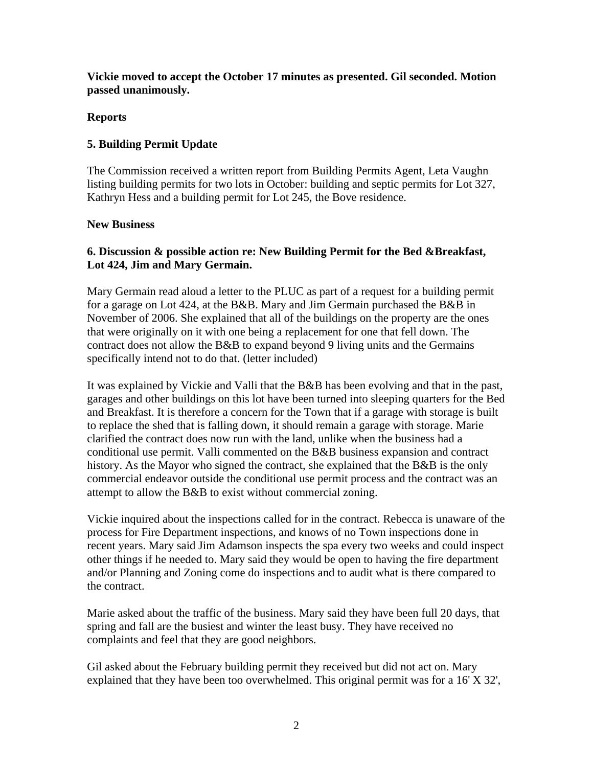**Vickie moved to accept the October 17 minutes as presented. Gil seconded. Motion passed unanimously.**

# **Reports**

# **5. Building Permit Update**

The Commission received a written report from Building Permits Agent, Leta Vaughn listing building permits for two lots in October: building and septic permits for Lot 327, Kathryn Hess and a building permit for Lot 245, the Bove residence.

# **New Business**

# **6. Discussion & possible action re: New Building Permit for the Bed &Breakfast, Lot 424, Jim and Mary Germain.**

Mary Germain read aloud a letter to the PLUC as part of a request for a building permit for a garage on Lot 424, at the B&B. Mary and Jim Germain purchased the B&B in November of 2006. She explained that all of the buildings on the property are the ones that were originally on it with one being a replacement for one that fell down. The contract does not allow the B&B to expand beyond 9 living units and the Germains specifically intend not to do that. (letter included)

It was explained by Vickie and Valli that the B&B has been evolving and that in the past, garages and other buildings on this lot have been turned into sleeping quarters for the Bed and Breakfast. It is therefore a concern for the Town that if a garage with storage is built to replace the shed that is falling down, it should remain a garage with storage. Marie clarified the contract does now run with the land, unlike when the business had a conditional use permit. Valli commented on the B&B business expansion and contract history. As the Mayor who signed the contract, she explained that the B&B is the only commercial endeavor outside the conditional use permit process and the contract was an attempt to allow the B&B to exist without commercial zoning.

Vickie inquired about the inspections called for in the contract. Rebecca is unaware of the process for Fire Department inspections, and knows of no Town inspections done in recent years. Mary said Jim Adamson inspects the spa every two weeks and could inspect other things if he needed to. Mary said they would be open to having the fire department and/or Planning and Zoning come do inspections and to audit what is there compared to the contract.

Marie asked about the traffic of the business. Mary said they have been full 20 days, that spring and fall are the busiest and winter the least busy. They have received no complaints and feel that they are good neighbors.

Gil asked about the February building permit they received but did not act on. Mary explained that they have been too overwhelmed. This original permit was for a 16' X 32',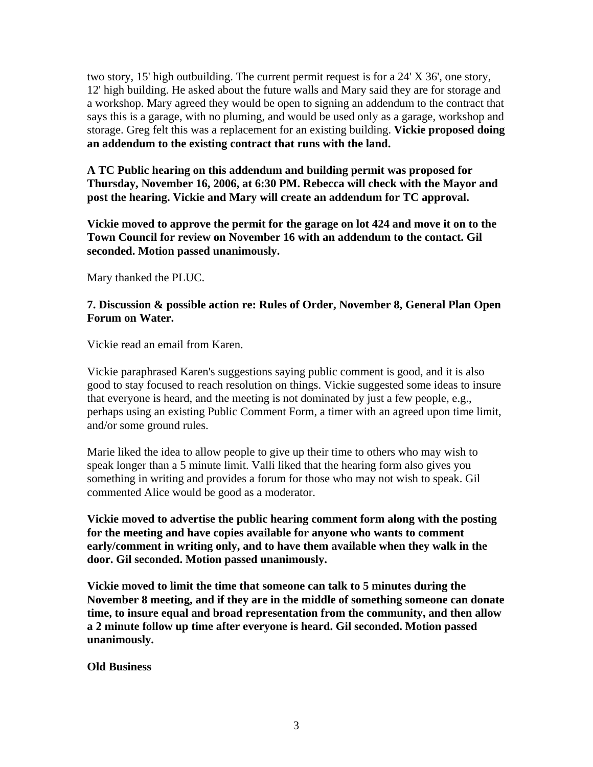two story, 15' high outbuilding. The current permit request is for a 24' X 36', one story, 12' high building. He asked about the future walls and Mary said they are for storage and a workshop. Mary agreed they would be open to signing an addendum to the contract that says this is a garage, with no pluming, and would be used only as a garage, workshop and storage. Greg felt this was a replacement for an existing building. **Vickie proposed doing an addendum to the existing contract that runs with the land.**

**A TC Public hearing on this addendum and building permit was proposed for Thursday, November 16, 2006, at 6:30 PM. Rebecca will check with the Mayor and post the hearing. Vickie and Mary will create an addendum for TC approval.**

**Vickie moved to approve the permit for the garage on lot 424 and move it on to the Town Council for review on November 16 with an addendum to the contact. Gil seconded. Motion passed unanimously.**

Mary thanked the PLUC.

### **7. Discussion & possible action re: Rules of Order, November 8, General Plan Open Forum on Water.**

Vickie read an email from Karen.

Vickie paraphrased Karen's suggestions saying public comment is good, and it is also good to stay focused to reach resolution on things. Vickie suggested some ideas to insure that everyone is heard, and the meeting is not dominated by just a few people, e.g., perhaps using an existing Public Comment Form, a timer with an agreed upon time limit, and/or some ground rules.

Marie liked the idea to allow people to give up their time to others who may wish to speak longer than a 5 minute limit. Valli liked that the hearing form also gives you something in writing and provides a forum for those who may not wish to speak. Gil commented Alice would be good as a moderator.

**Vickie moved to advertise the public hearing comment form along with the posting for the meeting and have copies available for anyone who wants to comment early/comment in writing only, and to have them available when they walk in the door. Gil seconded. Motion passed unanimously.**

**Vickie moved to limit the time that someone can talk to 5 minutes during the November 8 meeting, and if they are in the middle of something someone can donate time, to insure equal and broad representation from the community, and then allow a 2 minute follow up time after everyone is heard. Gil seconded. Motion passed unanimously.**

**Old Business**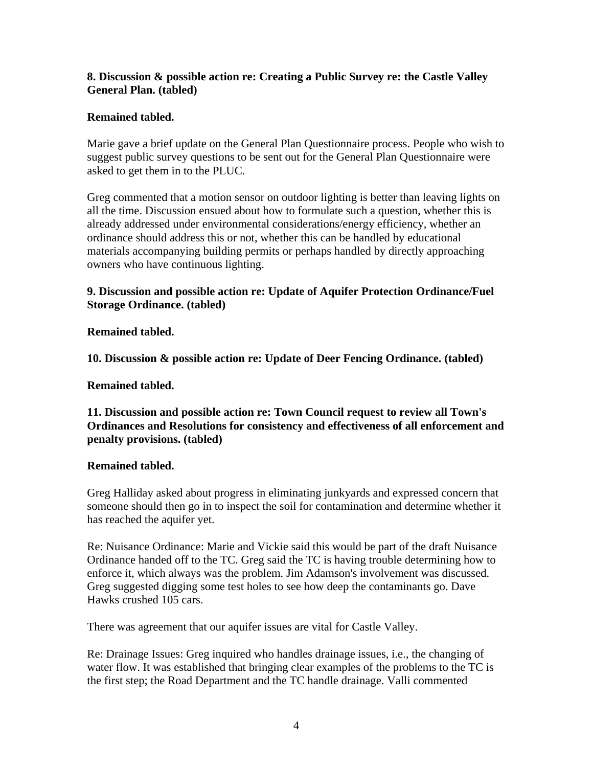# **8. Discussion & possible action re: Creating a Public Survey re: the Castle Valley General Plan. (tabled)**

# **Remained tabled.**

Marie gave a brief update on the General Plan Questionnaire process. People who wish to suggest public survey questions to be sent out for the General Plan Questionnaire were asked to get them in to the PLUC.

Greg commented that a motion sensor on outdoor lighting is better than leaving lights on all the time. Discussion ensued about how to formulate such a question, whether this is already addressed under environmental considerations/energy efficiency, whether an ordinance should address this or not, whether this can be handled by educational materials accompanying building permits or perhaps handled by directly approaching owners who have continuous lighting.

# **9. Discussion and possible action re: Update of Aquifer Protection Ordinance/Fuel Storage Ordinance. (tabled)**

## **Remained tabled.**

**10. Discussion & possible action re: Update of Deer Fencing Ordinance. (tabled)**

### **Remained tabled.**

**11. Discussion and possible action re: Town Council request to review all Town's Ordinances and Resolutions for consistency and effectiveness of all enforcement and penalty provisions. (tabled)**

### **Remained tabled.**

Greg Halliday asked about progress in eliminating junkyards and expressed concern that someone should then go in to inspect the soil for contamination and determine whether it has reached the aquifer yet.

Re: Nuisance Ordinance: Marie and Vickie said this would be part of the draft Nuisance Ordinance handed off to the TC. Greg said the TC is having trouble determining how to enforce it, which always was the problem. Jim Adamson's involvement was discussed. Greg suggested digging some test holes to see how deep the contaminants go. Dave Hawks crushed 105 cars.

There was agreement that our aquifer issues are vital for Castle Valley.

Re: Drainage Issues: Greg inquired who handles drainage issues, i.e., the changing of water flow. It was established that bringing clear examples of the problems to the TC is the first step; the Road Department and the TC handle drainage. Valli commented